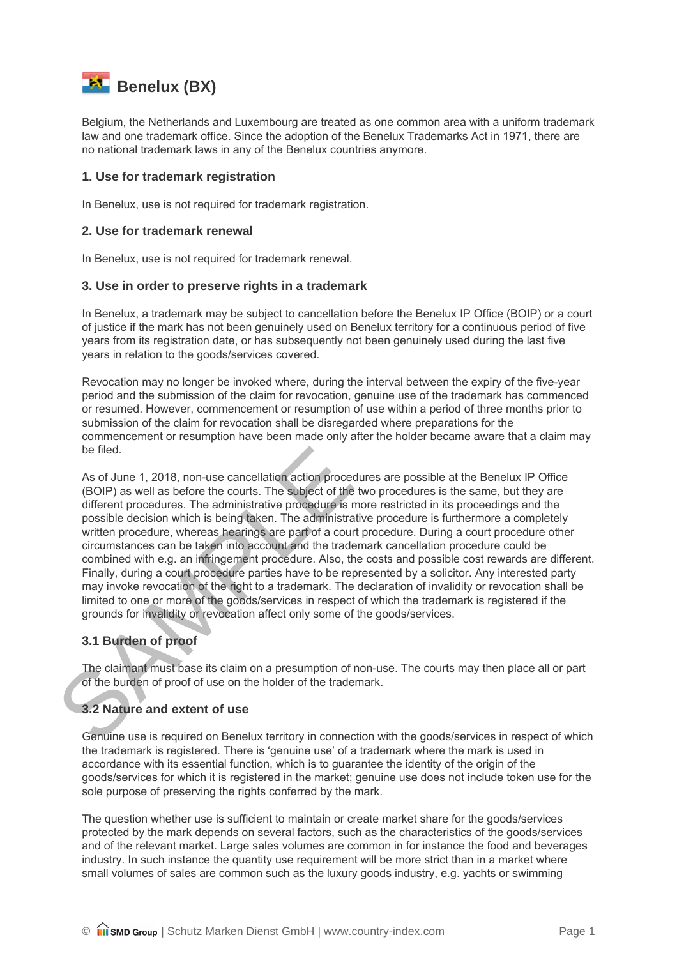

Belgium, the Netherlands and Luxembourg are treated as one common area with a uniform trademark law and one trademark office. Since the adoption of the Benelux Trademarks Act in 1971, there are no national trademark laws in any of the Benelux countries anymore.

## **1. Use for trademark registration**

In Benelux, use is not required for trademark registration.

## **2. Use for trademark renewal**

In Benelux, use is not required for trademark renewal.

#### **3. Use in order to preserve rights in a trademark**

In Benelux, a trademark may be subject to cancellation before the Benelux IP Office (BOIP) or a court of justice if the mark has not been genuinely used on Benelux territory for a continuous period of five years from its registration date, or has subsequently not been genuinely used during the last five years in relation to the goods/services covered.

Revocation may no longer be invoked where, during the interval between the expiry of the five-year period and the submission of the claim for revocation, genuine use of the trademark has commenced or resumed. However, commencement or resumption of use within a period of three months prior to submission of the claim for revocation shall be disregarded where preparations for the commencement or resumption have been made only after the holder became aware that a claim may be filed.

be filed.<br>
As of June 1, 2018, non-use cancellation action procedure<br>
(BOIP) as well as before the courts. The subject of the two<br>
different procedures. The administrative procedure is more<br>
possible decision which is bein As of June 1, 2018, non-use cancellation action procedures are possible at the Benelux IP Office (BOIP) as well as before the courts. The subject of the two procedures is the same, but they are different procedures. The administrative procedure is more restricted in its proceedings and the possible decision which is being taken. The administrative procedure is furthermore a completely written procedure, whereas hearings are part of a court procedure. During a court procedure other circumstances can be taken into account and the trademark cancellation procedure could be combined with e.g. an infringement procedure. Also, the costs and possible cost rewards are different. Finally, during a court procedure parties have to be represented by a solicitor. Any interested party may invoke revocation of the right to a trademark. The declaration of invalidity or revocation shall be limited to one or more of the goods/services in respect of which the trademark is registered if the grounds for invalidity or revocation affect only some of the goods/services.

## **3.1 Burden of proof**

The claimant must base its claim on a presumption of non-use. The courts may then place all or part of the burden of proof of use on the holder of the trademark.

# **3.2 Nature and extent of use**

Genuine use is required on Benelux territory in connection with the goods/services in respect of which the trademark is registered. There is 'genuine use' of a trademark where the mark is used in accordance with its essential function, which is to guarantee the identity of the origin of the goods/services for which it is registered in the market; genuine use does not include token use for the sole purpose of preserving the rights conferred by the mark.

The question whether use is sufficient to maintain or create market share for the goods/services protected by the mark depends on several factors, such as the characteristics of the goods/services and of the relevant market. Large sales volumes are common in for instance the food and beverages industry. In such instance the quantity use requirement will be more strict than in a market where small volumes of sales are common such as the luxury goods industry, e.g. yachts or swimming